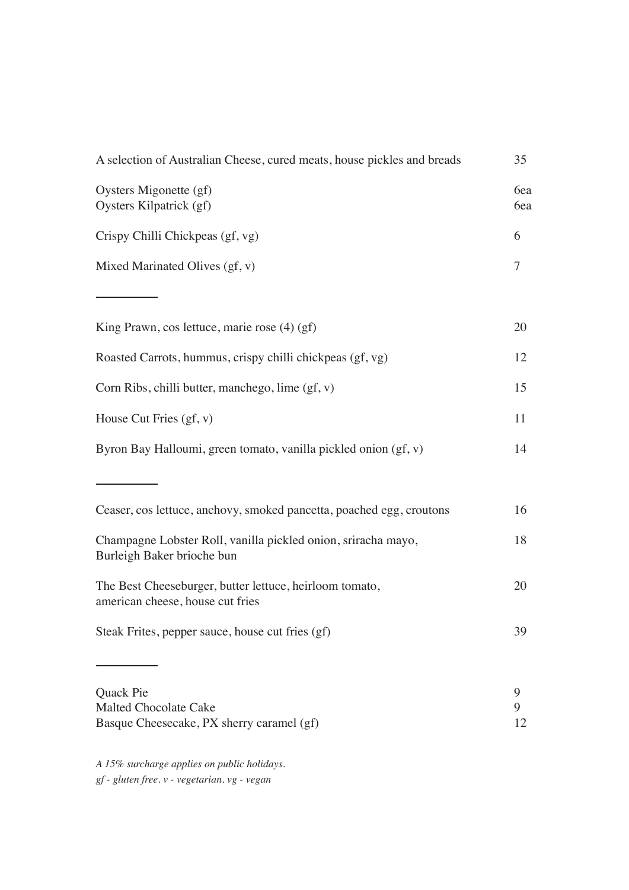| A selection of Australian Cheese, cured meats, house pickles and breads                     |              |
|---------------------------------------------------------------------------------------------|--------------|
| Oysters Migonette (gf)<br>Oysters Kilpatrick (gf)                                           | 6ea<br>6ea   |
| Crispy Chilli Chickpeas (gf, vg)                                                            | 6            |
| Mixed Marinated Olives (gf, v)                                                              | 7            |
|                                                                                             |              |
| King Prawn, cos lettuce, marie rose $(4)$ (gf)                                              | 20           |
| Roasted Carrots, hummus, crispy chilli chickpeas (gf, vg)                                   | 12           |
| Corn Ribs, chilli butter, manchego, lime (gf, v)                                            | 15           |
| House Cut Fries $(gf, v)$                                                                   | 11           |
| Byron Bay Halloumi, green tomato, vanilla pickled onion (gf, v)                             | 14           |
|                                                                                             |              |
| Ceaser, cos lettuce, anchovy, smoked pancetta, poached egg, croutons                        | 16           |
| Champagne Lobster Roll, vanilla pickled onion, sriracha mayo,<br>Burleigh Baker brioche bun | 18           |
| The Best Cheeseburger, butter lettuce, heirloom tomato,<br>american cheese, house cut fries | 20           |
| Steak Frites, pepper sauce, house cut fries (gf)                                            | 39           |
|                                                                                             |              |
| Quack Pie<br><b>Malted Chocolate Cake</b><br>Basque Cheesecake, PX sherry caramel (gf)      | 9<br>9<br>12 |

*A 15% surcharge applies on public holidays. gf - gluten free. v - vegetarian. vg - vegan*